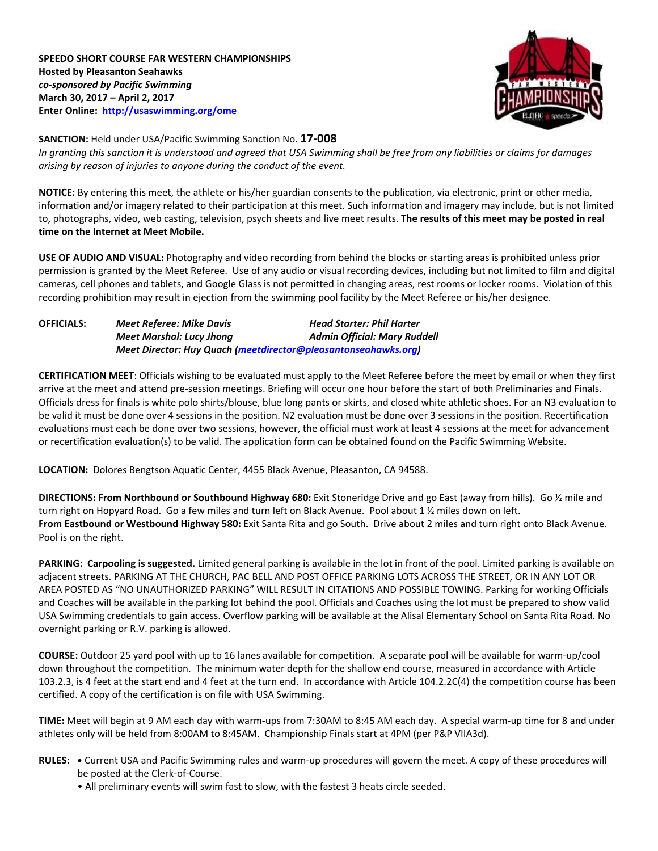# **SPEEDO SHORT COURSE FAR WESTERN CHAMPIONSHIPS Hosted by Pleasanton Seahawks** *co-sponsored by Pacific Swimming* **March 30, 2017 – April 2, 2017 Enter Online:<http://usaswimming.org/ome>**



# **SANCTION:** Held under USA/Pacific Swimming Sanction No. **17-008** *In granting this sanction it is understood and agreed that USA Swimming shall be free from any liabilities or claims for damages arising by reason of injuries to anyone during the conduct of the event.*

**NOTICE:** By entering this meet, the athlete or his/her guardian consents to the publication, via electronic, print or other media, information and/or imagery related to their participation at this meet. Such information and imagery may include, but is not limited to, photographs, video, web casting, television, psych sheets and live meet results. **The results of this meet may be posted in real time on the Internet at Meet Mobile.**

**USE OF AUDIO AND VISUAL:** Photography and video recording from behind the blocks or starting areas is prohibited unless prior permission is granted by the Meet Referee. Use of any audio or visual recording devices, including but not limited to film and digital cameras, cell phones and tablets, and Google Glass is not permitted in changing areas, rest rooms or locker rooms. Violation of this recording prohibition may result in ejection from the swimming pool facility by the Meet Referee or his/her designee.

| <b>OFFICIALS:</b> | Meet Referee: Mike Davis                                       | <b>Head Starter: Phil Harter</b>    |
|-------------------|----------------------------------------------------------------|-------------------------------------|
|                   | <b>Meet Marshal: Lucy Jhong</b>                                | <b>Admin Official: Mary Ruddell</b> |
|                   | Meet Director: Huy Quach (meetdirector@pleasantonseahawks.org) |                                     |

**CERTIFICATION MEET**: Officials wishing to be evaluated must apply to the Meet Referee before the meet by email or when they first arrive at the meet and attend pre-session meetings. Briefing will occur one hour before the start of both Preliminaries and Finals. Officials dress for finals is white polo shirts/blouse, blue long pants or skirts, and closed white athletic shoes. For an N3 evaluation to be valid it must be done over 4 sessions in the position. N2 evaluation must be done over 3 sessions in the position. Recertification evaluations must each be done over two sessions, however, the official must work at least 4 sessions at the meet for advancement or recertification evaluation(s) to be valid. The application form can be obtained found on the Pacific Swimming Website.

**LOCATION:** Dolores Bengtson Aquatic Center, 4455 Black Avenue, Pleasanton, CA 94588.

**DIRECTIONS: From Northbound or Southbound Highway 680:** Exit Stoneridge Drive and go East (away from hills). Go ½ mile and turn right on Hopyard Road. Go a few miles and turn left on Black Avenue. Pool about 1 1/2 miles down on left. **From Eastbound or Westbound Highway 580:** Exit Santa Rita and go South. Drive about 2 miles and turn right onto Black Avenue. Pool is on the right.

**PARKING: Carpooling is suggested.** Limited general parking is available in the lot in front of the pool. Limited parking is available on adjacent streets. PARKING AT THE CHURCH, PAC BELL AND POST OFFICE PARKING LOTS ACROSS THE STREET, OR IN ANY LOT OR AREA POSTED AS "NO UNAUTHORIZED PARKING" WILL RESULT IN CITATIONS AND POSSIBLE TOWING. Parking for working Officials and Coaches will be available in the parking lot behind the pool. Officials and Coaches using the lot must be prepared to show valid USA Swimming credentials to gain access. Overflow parking will be available at the Alisal Elementary School on Santa Rita Road. No overnight parking or R.V. parking is allowed.

**COURSE:** Outdoor 25 yard pool with up to 16 lanes available for competition.A separate pool will be available for warm-up/cool down throughout the competition. The minimum water depth for the shallow end course, measured in accordance with Article 103.2.3, is 4 feet at the start end and 4 feet at the turn end. In accordance with Article 104.2.2C(4) the competition course has been certified. A copy of the certification is on file with USA Swimming.

**TIME:** Meet will begin at 9 AM each day with warm-ups from 7:30AM to 8:45 AM each day. A special warm-up time for 8 and under athletes only will be held from 8:00AM to 8:45AM. Championship Finals start at 4PM (per P&P VIIA3d).

- **RULES: •** Current USA and Pacific Swimming rules and warm-up procedures will govern the meet. A copy of these procedures will be posted at the Clerk-of-Course.
	- All preliminary events will swim fast to slow, with the fastest 3 heats circle seeded.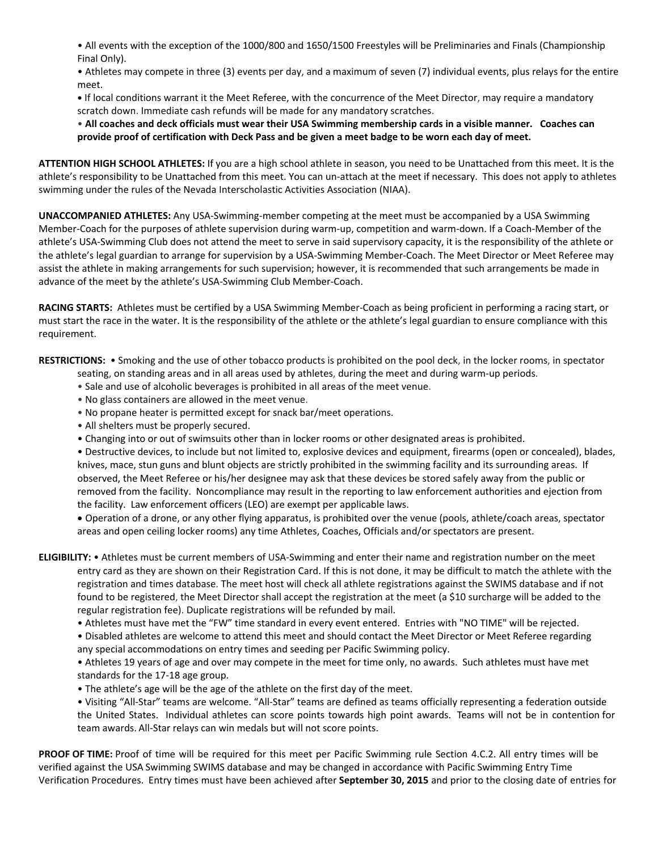• All events with the exception of the 1000/800 and 1650/1500 Freestyles will be Preliminaries and Finals (Championship Final Only).

• Athletes may compete in three (3) events per day, and a maximum of seven (7) individual events, plus relays for the entire meet.

**•** If local conditions warrant it the Meet Referee, with the concurrence of the Meet Director, may require a mandatory scratch down. Immediate cash refunds will be made for any mandatory scratches.

• **All coaches and deck officials must wear their USA Swimming membership cards in a visible manner. Coaches can provide proof of certification with Deck Pass and be given a meet badge to be worn each day of meet.**

**ATTENTION HIGH SCHOOL ATHLETES:** If you are a high school athlete in season, you need to be Unattached from this meet. It is the athlete's responsibility to be Unattached from this meet. You can un-attach at the meet if necessary. This does not apply to athletes swimming under the rules of the Nevada Interscholastic Activities Association (NIAA).

**UNACCOMPANIED ATHLETES:** Any USA-Swimming-member competing at the meet must be accompanied by a USA Swimming Member-Coach for the purposes of athlete supervision during warm-up, competition and warm-down. If a Coach-Member of the athlete's USA-Swimming Club does not attend the meet to serve in said supervisory capacity, it is the responsibility of the athlete or the athlete's legal guardian to arrange for supervision by a USA-Swimming Member-Coach. The Meet Director or Meet Referee may assist the athlete in making arrangements for such supervision; however, it is recommended that such arrangements be made in advance of the meet by the athlete's USA-Swimming Club Member-Coach.

**RACING STARTS:** Athletes must be certified by a USA Swimming Member-Coach as being proficient in performing a racing start, or must start the race in the water. It is the responsibility of the athlete or the athlete's legal guardian to ensure compliance with this requirement.

**RESTRICTIONS:** • Smoking and the use of other tobacco products is prohibited on the pool deck, in the locker rooms, in spectator

seating, on standing areas and in all areas used by athletes, during the meet and during warm-up periods.

- Sale and use of alcoholic beverages is prohibited in all areas of the meet venue.
- No glass containers are allowed in the meet venue.
- No propane heater is permitted except for snack bar/meet operations.
- All shelters must be properly secured.
- Changing into or out of swimsuits other than in locker rooms or other designated areas is prohibited.

• Destructive devices, to include but not limited to, explosive devices and equipment, firearms (open or concealed), blades, knives, mace, stun guns and blunt objects are strictly prohibited in the swimming facility and its surrounding areas. If observed, the Meet Referee or his/her designee may ask that these devices be stored safely away from the public or removed from the facility. Noncompliance may result in the reporting to law enforcement authorities and ejection from the facility. Law enforcement officers (LEO) are exempt per applicable laws.

 Operation of a drone, or any other flying apparatus, is prohibited over the venue (pools, athlete/coach areas, spectator areas and open ceiling locker rooms) any time Athletes, Coaches, Officials and/or spectators are present.

**ELIGIBILITY:** • Athletes must be current members of USA-Swimming and enter their name and registration number on the meet entry card as they are shown on their Registration Card. If this is not done, it may be difficult to match the athlete with the registration and times database. The meet host will check all athlete registrations against the SWIMS database and if not found to be registered, the Meet Director shall accept the registration at the meet (a \$10 surcharge will be added to the regular registration fee). Duplicate registrations will be refunded by mail.

• Athletes must have met the "FW" time standard in every event entered. Entries with "NO TIME" will be rejected.

• Disabled athletes are welcome to attend this meet and should contact the Meet Director or Meet Referee regarding any special accommodations on entry times and seeding per Pacific Swimming policy.

• Athletes 19 years of age and over may compete in the meet for time only, no awards. Such athletes must have met standards for the 17-18 age group.

• The athlete's age will be the age of the athlete on the first day of the meet.

• Visiting "All-Star" teams are welcome. "All-Star" teams are defined as teams officially representing a federation outside the United States. Individual athletes can score points towards high point awards. Teams will not be in contention for team awards. All-Star relays can win medals but will not score points.

**PROOF OF TIME:** Proof of time will be required for this meet per Pacific Swimming rule Section 4.C.2. All entry times will be verified against the USA Swimming SWIMS database and may be changed in accordance with Pacific Swimming Entry Time Verification Procedures. Entry times must have been achieved after **September 30, 2015** and prior to the closing date of entries for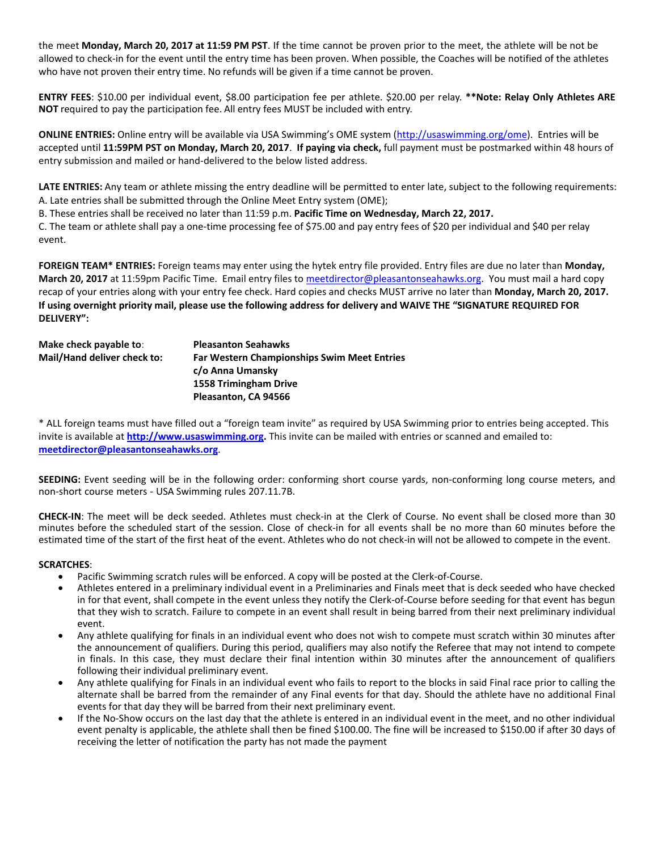the meet **Monday, March 20, 2017 at 11:59 PM PST**. If the time cannot be proven prior to the meet, the athlete will be not be allowed to check-in for the event until the entry time has been proven. When possible, the Coaches will be notified of the athletes who have not proven their entry time. No refunds will be given if a time cannot be proven.

**ENTRY FEES**: \$10.00 per individual event, \$8.00 participation fee per athlete. \$20.00 per relay. **\*\*Note: Relay Only Athletes ARE NOT** required to pay the participation fee. All entry fees MUST be included with entry.

**ONLINE ENTRIES:** Online entry will be available via USA Swimming's OME system ([http://usaswimming.org/ome\)](http://usaswimming.org/ome). Entries will be accepted until **11:59PM PST on Monday, March 20, 2017**. **If paying via check,** full payment must be postmarked within 48 hours of entry submission and mailed or hand-delivered to the below listed address.

**LATE ENTRIES:** Any team or athlete missing the entry deadline will be permitted to enter late, subject to the following requirements: A. Late entries shall be submitted through the Online Meet Entry system (OME);

B. These entries shall be received no later than 11:59 p.m. **Pacific Time on Wednesday, March 22, 2017.**

C. The team or athlete shall pay a one-time processing fee of \$75.00 and pay entry fees of \$20 per individual and \$40 per relay event.

**FOREIGN TEAM\* ENTRIES:** Foreign teams may enter using the hytek entry file provided. Entry files are due no later than **Monday, March 20, 2017** at 11:59pm Pacific Time. Email entry files to [meetdirector@pleasantonseahawks.org.](mailto:meetdirector@pleasantonseahawks.org) You must mail a hard copy recap of your entries along with your entry fee check. Hard copies and checks MUST arrive no later than **Monday, March 20, 2017. If using overnight priority mail, please use the following address for delivery and WAIVE THE "SIGNATURE REQUIRED FOR DELIVERY":**

| Make check payable to:      | <b>Pleasanton Seahawks</b>                         |
|-----------------------------|----------------------------------------------------|
| Mail/Hand deliver check to: | <b>Far Western Championships Swim Meet Entries</b> |
|                             | c/o Anna Umansky                                   |
|                             | 1558 Trimingham Drive                              |
|                             | Pleasanton, CA 94566                               |

\* ALL foreign teams must have filled out a "foreign team invite" as required by USA Swimming prior to entries being accepted. This invite is available at **[http://www.usaswimming.org.](http://www.usaswimming.org/)** This invite can be mailed with entries or scanned and emailed to: **[meetdirector@pleasantonseahawks.org](mailto:meetdirector@pleasantonseahawks.org)**.

**SEEDING:** Event seeding will be in the following order: conforming short course yards, non-conforming long course meters, and non-short course meters - USA Swimming rules 207.11.7B.

**CHECK-IN**: The meet will be deck seeded. Athletes must check-in at the Clerk of Course. No event shall be closed more than 30 minutes before the scheduled start of the session. Close of check-in for all events shall be no more than 60 minutes before the estimated time of the start of the first heat of the event. Athletes who do not check-in will not be allowed to compete in the event.

### **SCRATCHES**:

- Pacific Swimming scratch rules will be enforced. A copy will be posted at the Clerk-of-Course.
- Athletes entered in a preliminary individual event in a Preliminaries and Finals meet that is deck seeded who have checked in for that event, shall compete in the event unless they notify the Clerk-of-Course before seeding for that event has begun that they wish to scratch. Failure to compete in an event shall result in being barred from their next preliminary individual event.
- Any athlete qualifying for finals in an individual event who does not wish to compete must scratch within 30 minutes after the announcement of qualifiers. During this period, qualifiers may also notify the Referee that may not intend to compete in finals. In this case, they must declare their final intention within 30 minutes after the announcement of qualifiers following their individual preliminary event.
- Any athlete qualifying for Finals in an individual event who fails to report to the blocks in said Final race prior to calling the alternate shall be barred from the remainder of any Final events for that day. Should the athlete have no additional Final events for that day they will be barred from their next preliminary event.
- If the No-Show occurs on the last day that the athlete is entered in an individual event in the meet, and no other individual event penalty is applicable, the athlete shall then be fined \$100.00. The fine will be increased to \$150.00 if after 30 days of receiving the letter of notification the party has not made the payment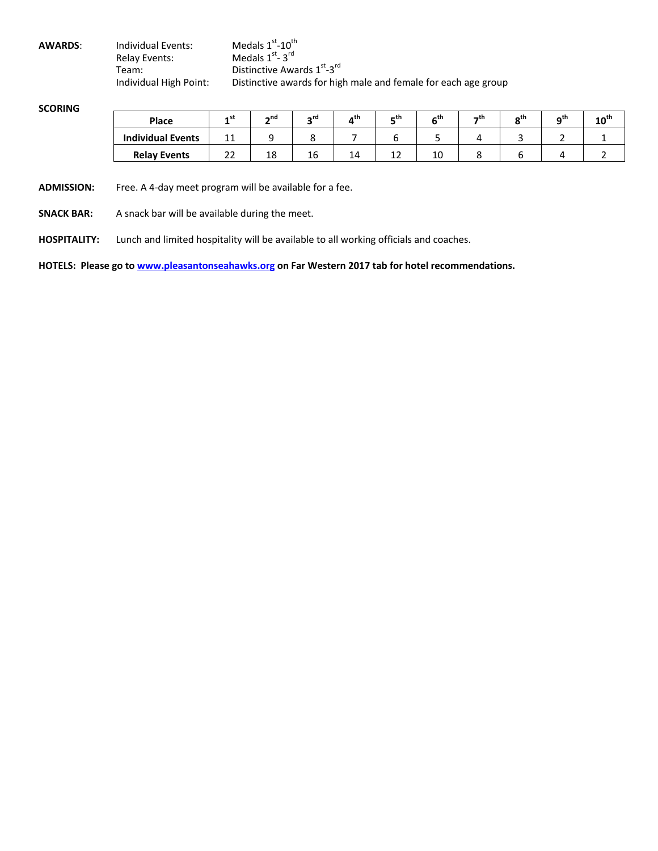| <b>AWARDS:</b> | Individual Events:     | Medals $1^\text{st}$ - $10^\text{th}$                          |
|----------------|------------------------|----------------------------------------------------------------|
|                | Relav Events:          | Medals $1st - 3rd$                                             |
|                | Team:                  | Distinctive Awards 1st-3rd                                     |
|                | Individual High Point: | Distinctive awards for high male and female for each age group |

# **SCORING**

| Place                    | stء ـ    | $\sim$ nd | ∽rd       | ,th | – th | th- | $-$ th | nth | ∩th | $10^{\text{th}}$ |
|--------------------------|----------|-----------|-----------|-----|------|-----|--------|-----|-----|------------------|
| <b>Individual Events</b> | 11<br>ᆠ  |           |           |     |      |     |        |     |     |                  |
| <b>Relay Events</b>      | . .<br>ᅩ | 18        | . .<br>16 | 14  | ᅩ    | 10  |        |     |     |                  |

**ADMISSION:** Free. A 4-day meet program will be available for a fee.

**SNACK BAR:** A snack bar will be available during the meet.

**HOSPITALITY:** Lunch and limited hospitality will be available to all working officials and coaches.

**HOTELS: Please go t[o www.pleasantonseahawks.org](http://www.pleasantonseahawks.org/) on Far Western 2017 tab for hotel recommendations.**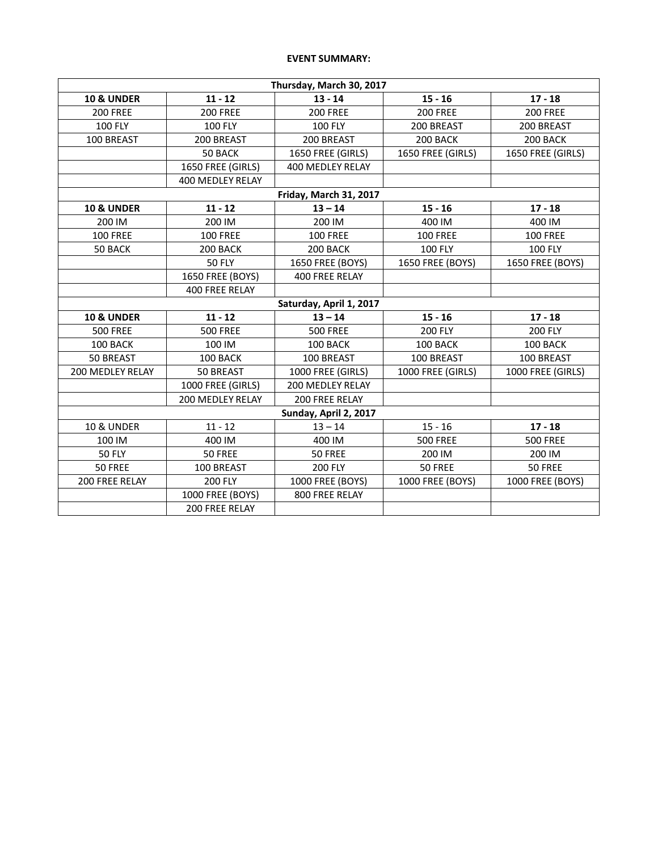# **EVENT SUMMARY:**

| Thursday, March 30, 2017 |                       |                         |                   |                   |  |  |
|--------------------------|-----------------------|-------------------------|-------------------|-------------------|--|--|
| <b>10 &amp; UNDER</b>    | $11 - 12$             | $13 - 14$               | $15 - 16$         | $17 - 18$         |  |  |
| <b>200 FREE</b>          | <b>200 FREE</b>       | <b>200 FREE</b>         | <b>200 FREE</b>   | <b>200 FREE</b>   |  |  |
| <b>100 FLY</b>           | <b>100 FLY</b>        | <b>100 FLY</b>          | 200 BREAST        | 200 BREAST        |  |  |
| 100 BREAST               | 200 BREAST            | 200 BREAST              | 200 BACK          | 200 BACK          |  |  |
|                          | 50 BACK               | 1650 FREE (GIRLS)       | 1650 FREE (GIRLS) | 1650 FREE (GIRLS) |  |  |
|                          | 1650 FREE (GIRLS)     | 400 MEDLEY RELAY        |                   |                   |  |  |
|                          | 400 MEDLEY RELAY      |                         |                   |                   |  |  |
|                          |                       | Friday, March 31, 2017  |                   |                   |  |  |
| <b>10 &amp; UNDER</b>    | $11 - 12$             | $13 - 14$               | $15 - 16$         | $17 - 18$         |  |  |
| 200 IM                   | 200 IM                | 200 IM                  | 400 IM            | 400 IM            |  |  |
| <b>100 FREE</b>          | <b>100 FREE</b>       | <b>100 FREE</b>         | <b>100 FREE</b>   | <b>100 FREE</b>   |  |  |
| 50 BACK                  | 200 BACK              | 200 BACK                | <b>100 FLY</b>    | <b>100 FLY</b>    |  |  |
|                          | <b>50 FLY</b>         | 1650 FREE (BOYS)        | 1650 FREE (BOYS)  | 1650 FREE (BOYS)  |  |  |
|                          | 1650 FREE (BOYS)      | 400 FREE RELAY          |                   |                   |  |  |
|                          | 400 FREE RELAY        |                         |                   |                   |  |  |
|                          |                       | Saturday, April 1, 2017 |                   |                   |  |  |
| <b>10 &amp; UNDER</b>    | $11 - 12$             | $13 - 14$               | $15 - 16$         | $17 - 18$         |  |  |
| <b>500 FREE</b>          | <b>500 FREE</b>       | <b>500 FREE</b>         | <b>200 FLY</b>    | <b>200 FLY</b>    |  |  |
| 100 BACK                 | 100 IM                | 100 BACK                | 100 BACK          | 100 BACK          |  |  |
| 50 BREAST                | 100 BACK              | 100 BREAST              | 100 BREAST        | 100 BREAST        |  |  |
| <b>200 MEDLEY RELAY</b>  | 50 BREAST             | 1000 FREE (GIRLS)       | 1000 FREE (GIRLS) | 1000 FREE (GIRLS) |  |  |
|                          | 1000 FREE (GIRLS)     | 200 MEDLEY RELAY        |                   |                   |  |  |
|                          | 200 MEDLEY RELAY      | 200 FREE RELAY          |                   |                   |  |  |
|                          | Sunday, April 2, 2017 |                         |                   |                   |  |  |
| <b>10 &amp; UNDER</b>    | $11 - 12$             | $13 - 14$               | $15 - 16$         | $17 - 18$         |  |  |
| 100 IM                   | 400 IM                | 400 IM                  | <b>500 FREE</b>   | <b>500 FREE</b>   |  |  |
| <b>50 FLY</b>            | 50 FREE               | 50 FREE                 | 200 IM            | 200 IM            |  |  |
| 50 FREE                  | 100 BREAST            | <b>200 FLY</b>          | 50 FREE           | 50 FREE           |  |  |
| 200 FREE RELAY           | <b>200 FLY</b>        | 1000 FREE (BOYS)        | 1000 FREE (BOYS)  | 1000 FREE (BOYS)  |  |  |
|                          | 1000 FREE (BOYS)      | 800 FREE RELAY          |                   |                   |  |  |
|                          | 200 FREE RELAY        |                         |                   |                   |  |  |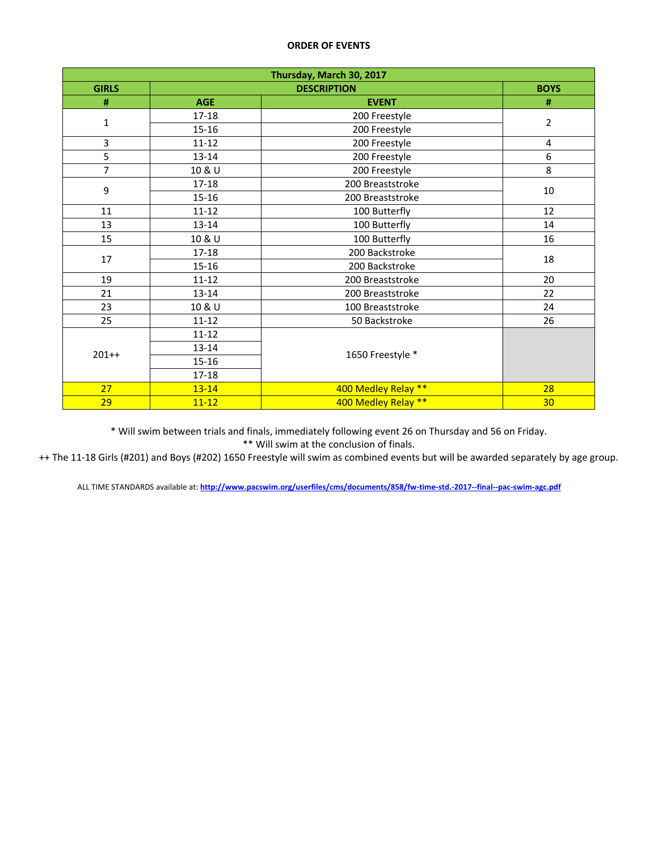| Thursday, March 30, 2017 |            |                     |                         |  |  |
|--------------------------|------------|---------------------|-------------------------|--|--|
| <b>GIRLS</b>             |            | <b>BOYS</b>         |                         |  |  |
| #                        | <b>AGE</b> | <b>EVENT</b>        | #                       |  |  |
|                          | $17 - 18$  | 200 Freestyle       | $\overline{2}$          |  |  |
| $\mathbf 1$              | $15 - 16$  | 200 Freestyle       |                         |  |  |
| 3                        | $11 - 12$  | 200 Freestyle       | $\overline{\mathbf{4}}$ |  |  |
| 5                        | $13 - 14$  | 200 Freestyle       | 6                       |  |  |
| $\overline{7}$           | 10 & U     | 200 Freestyle       | 8                       |  |  |
| 9                        | $17 - 18$  | 200 Breaststroke    | 10                      |  |  |
|                          | $15 - 16$  | 200 Breaststroke    |                         |  |  |
| 11                       | $11 - 12$  | 100 Butterfly       | 12                      |  |  |
| 13                       | $13 - 14$  | 100 Butterfly       | 14                      |  |  |
| 15                       | 10 & U     | 100 Butterfly       | 16                      |  |  |
| 17                       | 17-18      | 200 Backstroke      | 18                      |  |  |
|                          | $15 - 16$  | 200 Backstroke      |                         |  |  |
| 19                       | $11 - 12$  | 200 Breaststroke    | 20                      |  |  |
| 21                       | $13 - 14$  | 200 Breaststroke    | 22                      |  |  |
| 23                       | 10 & U     | 100 Breaststroke    | 24                      |  |  |
| 25                       | $11 - 12$  | 50 Backstroke       | 26                      |  |  |
| $201++$                  | $11 - 12$  |                     |                         |  |  |
|                          | $13 - 14$  | 1650 Freestyle *    |                         |  |  |
|                          | $15 - 16$  |                     |                         |  |  |
|                          | 17-18      |                     |                         |  |  |
| 27                       | $13 - 14$  | 400 Medley Relay ** | 28                      |  |  |
| 29                       | $11 - 12$  | 400 Medley Relay ** | 30                      |  |  |

\* Will swim between trials and finals, immediately following event 26 on Thursday and 56 on Friday.

\*\* Will swim at the conclusion of finals.

++ The 11-18 Girls (#201) and Boys (#202) 1650 Freestyle will swim as combined events but will be awarded separately by age group.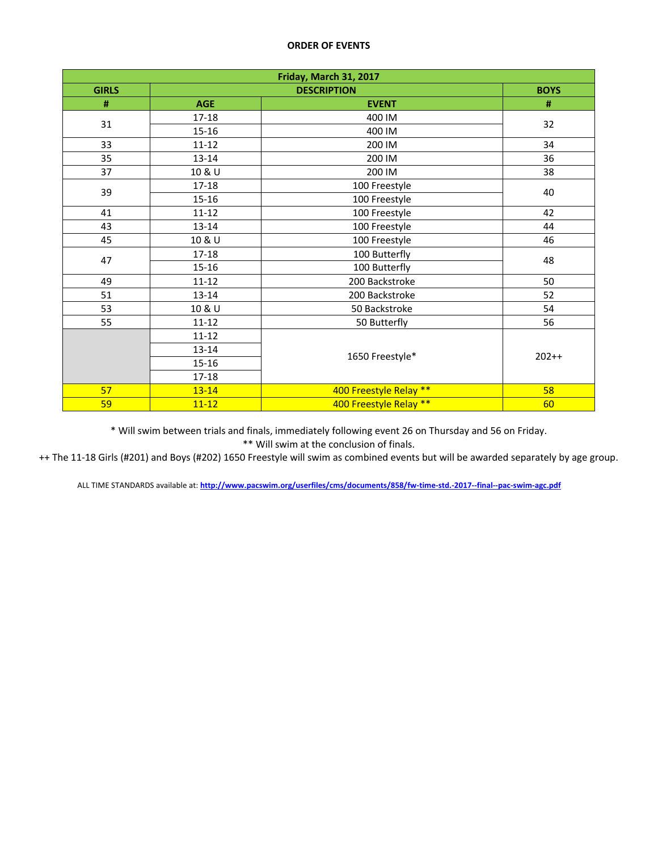| Friday, March 31, 2017 |            |                        |         |  |  |
|------------------------|------------|------------------------|---------|--|--|
| <b>GIRLS</b>           |            | <b>BOYS</b>            |         |  |  |
| #                      | <b>AGE</b> | <b>EVENT</b>           | #       |  |  |
|                        | 17-18      | 400 IM                 | 32      |  |  |
| 31                     | 15-16      | 400 IM                 |         |  |  |
| 33                     | $11 - 12$  | 200 IM                 | 34      |  |  |
| 35                     | 13-14      | 200 IM                 | 36      |  |  |
| 37                     | 10 & U     | 200 IM                 | 38      |  |  |
| 39                     | 17-18      | 100 Freestyle          | 40      |  |  |
|                        | 15-16      | 100 Freestyle          |         |  |  |
| 41                     | $11 - 12$  | 100 Freestyle          | 42      |  |  |
| 43                     | $13 - 14$  | 100 Freestyle          | 44      |  |  |
| 45                     | 10 & U     | 100 Freestyle          | 46      |  |  |
| 47                     | 17-18      | 100 Butterfly          | 48      |  |  |
|                        | $15 - 16$  | 100 Butterfly          |         |  |  |
| 49                     | $11 - 12$  | 200 Backstroke         | 50      |  |  |
| 51                     | 13-14      | 200 Backstroke         | 52      |  |  |
| 53                     | 10 & U     | 50 Backstroke          | 54      |  |  |
| 55                     | $11 - 12$  | 50 Butterfly           | 56      |  |  |
|                        | $11 - 12$  |                        |         |  |  |
|                        | 13-14      | 1650 Freestyle*        | $202++$ |  |  |
|                        | 15-16      |                        |         |  |  |
|                        | 17-18      |                        |         |  |  |
| 57                     | $13 - 14$  | 400 Freestyle Relay ** | 58      |  |  |
| 59                     | $11 - 12$  | 400 Freestyle Relay ** | 60      |  |  |

\* Will swim between trials and finals, immediately following event 26 on Thursday and 56 on Friday. \*\* Will swim at the conclusion of finals.

++ The 11-18 Girls (#201) and Boys (#202) 1650 Freestyle will swim as combined events but will be awarded separately by age group.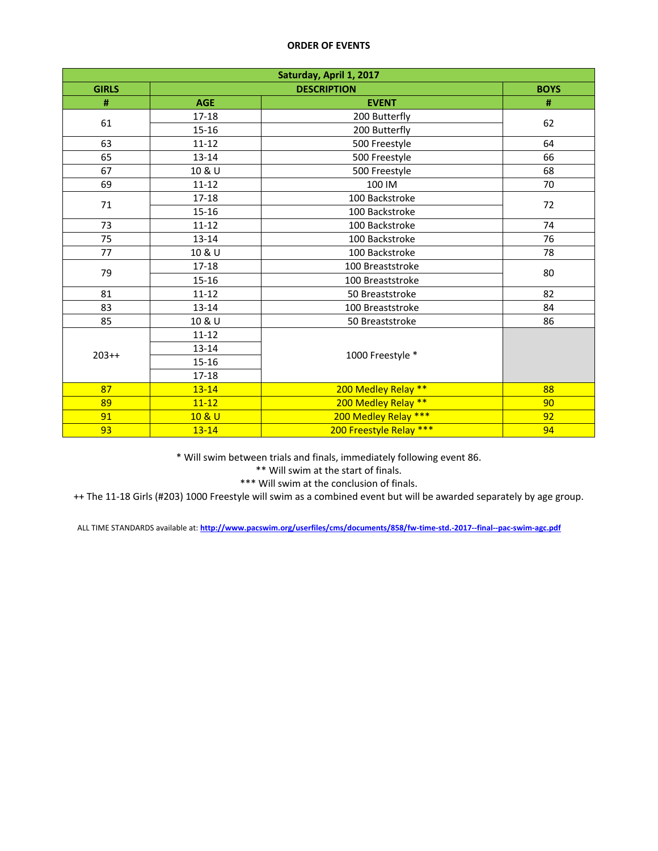| Saturday, April 1, 2017 |            |                         |    |  |  |
|-------------------------|------------|-------------------------|----|--|--|
| <b>GIRLS</b>            |            | <b>BOYS</b>             |    |  |  |
| #                       | <b>AGE</b> | <b>EVENT</b>            | #  |  |  |
|                         | $17-18$    | 200 Butterfly           | 62 |  |  |
| 61                      | $15 - 16$  | 200 Butterfly           |    |  |  |
| 63                      | $11 - 12$  | 500 Freestyle           | 64 |  |  |
| 65                      | $13 - 14$  | 500 Freestyle           | 66 |  |  |
| 67                      | 10 & U     | 500 Freestyle           | 68 |  |  |
| 69                      | $11 - 12$  | 100 IM                  | 70 |  |  |
| 71                      | 17-18      | 100 Backstroke          | 72 |  |  |
|                         | $15 - 16$  | 100 Backstroke          |    |  |  |
| 73                      | $11 - 12$  | 100 Backstroke          | 74 |  |  |
| 75                      | $13 - 14$  | 100 Backstroke          | 76 |  |  |
| 77                      | 10 & U     | 100 Backstroke          | 78 |  |  |
| 79                      | 17-18      | 100 Breaststroke        | 80 |  |  |
|                         | $15 - 16$  | 100 Breaststroke        |    |  |  |
| 81                      | $11 - 12$  | 50 Breaststroke         | 82 |  |  |
| 83                      | $13 - 14$  | 100 Breaststroke        | 84 |  |  |
| 85                      | 10 & U     | 50 Breaststroke         | 86 |  |  |
|                         | $11 - 12$  |                         |    |  |  |
| $203++$                 | $13 - 14$  | 1000 Freestyle *        |    |  |  |
|                         | 15-16      |                         |    |  |  |
|                         | 17-18      |                         |    |  |  |
| 87                      | $13 - 14$  | 200 Medley Relay **     | 88 |  |  |
| 89                      | $11 - 12$  | 200 Medley Relay **     | 90 |  |  |
| 91                      | 10 & U     | 200 Medley Relay ***    | 92 |  |  |
| 93                      | $13 - 14$  | 200 Freestyle Relay *** | 94 |  |  |

\* Will swim between trials and finals, immediately following event 86.

\*\* Will swim at the start of finals.

\*\*\* Will swim at the conclusion of finals.

++ The 11-18 Girls (#203) 1000 Freestyle will swim as a combined event but will be awarded separately by age group.